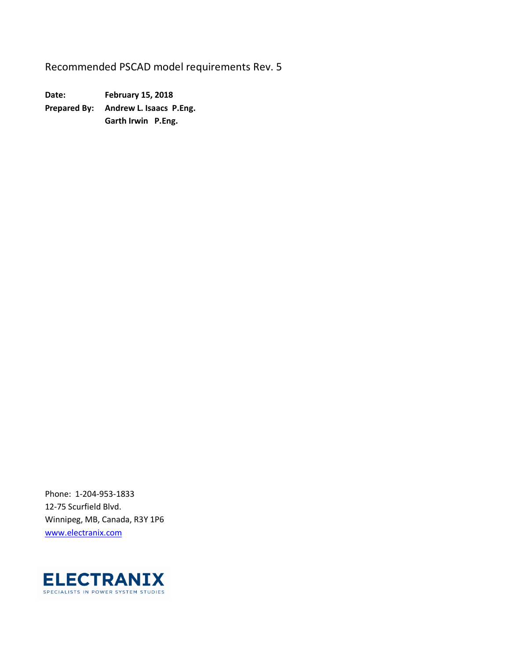Recommended PSCAD model requirements Rev. 5

**Date: February 15, 2018 Prepared By: Andrew L. Isaacs P.Eng. Garth Irwin P.Eng.**

Phone: 1-204-953-1833 12-75 Scurfield Blvd. Winnipeg, MB, Canada, R3Y 1P6 [www.electranix.com](http://www.electranix.com/)

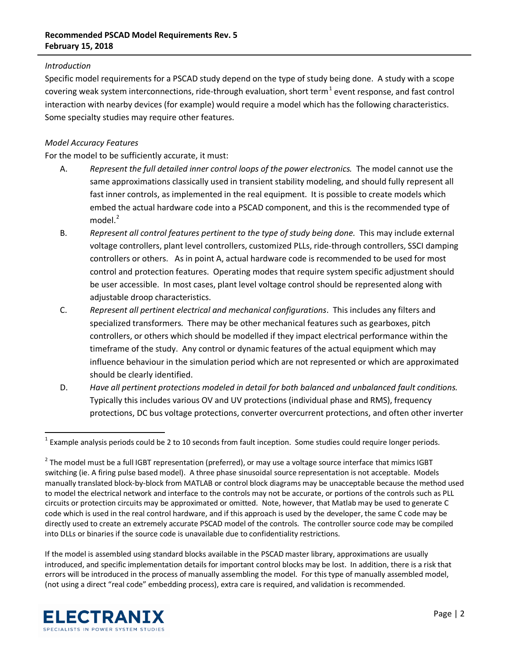## *Introduction*

Specific model requirements for a PSCAD study depend on the type of study being done. A study with a scope covering weak system interconnections, ride-through evaluation, short term $<sup>1</sup>$  $<sup>1</sup>$  $<sup>1</sup>$  event response, and fast control</sup> interaction with nearby devices (for example) would require a model which has the following characteristics. Some specialty studies may require other features.

## *Model Accuracy Features*

For the model to be sufficiently accurate, it must:

- A. *Represent the full detailed inner control loops of the power electronics.* The model cannot use the same approximations classically used in transient stability modeling, and should fully represent all fast inner controls, as implemented in the real equipment. It is possible to create models which embed the actual hardware code into a PSCAD component, and this is the recommended type of model $^2$  $^2$
- B. *Represent all control features pertinent to the type of study being done.* This may include external voltage controllers, plant level controllers, customized PLLs, ride-through controllers, SSCI damping controllers or others. As in point A, actual hardware code is recommended to be used for most control and protection features. Operating modes that require system specific adjustment should be user accessible. In most cases, plant level voltage control should be represented along with adjustable droop characteristics.
- C. *Represent all pertinent electrical and mechanical configurations*. This includes any filters and specialized transformers. There may be other mechanical features such as gearboxes, pitch controllers, or others which should be modelled if they impact electrical performance within the timeframe of the study. Any control or dynamic features of the actual equipment which may influence behaviour in the simulation period which are not represented or which are approximated should be clearly identified.
- D. *Have all pertinent protections modeled in detail for both balanced and unbalanced fault conditions.*  Typically this includes various OV and UV protections (individual phase and RMS), frequency protections, DC bus voltage protections, converter overcurrent protections, and often other inverter

If the model is assembled using standard blocks available in the PSCAD master library, approximations are usually introduced, and specific implementation details for important control blocks may be lost. In addition, there is a risk that errors will be introduced in the process of manually assembling the model. For this type of manually assembled model, (not using a direct "real code" embedding process), extra care is required, and validation is recommended.



<span id="page-1-0"></span>Example analysis periods could be 2 to 10 seconds from fault inception. Some studies could require longer periods.

<span id="page-1-1"></span> $2$  The model must be a full IGBT representation (preferred), or may use a voltage source interface that mimics IGBT switching (ie. A firing pulse based model). A three phase sinusoidal source representation is not acceptable. Models manually translated block-by-block from MATLAB or control block diagrams may be unacceptable because the method used to model the electrical network and interface to the controls may not be accurate, or portions of the controls such as PLL circuits or protection circuits may be approximated or omitted. Note, however, that Matlab may be used to generate C code which is used in the real control hardware, and if this approach is used by the developer, the same C code may be directly used to create an extremely accurate PSCAD model of the controls. The controller source code may be compiled into DLLs or binaries if the source code is unavailable due to confidentiality restrictions.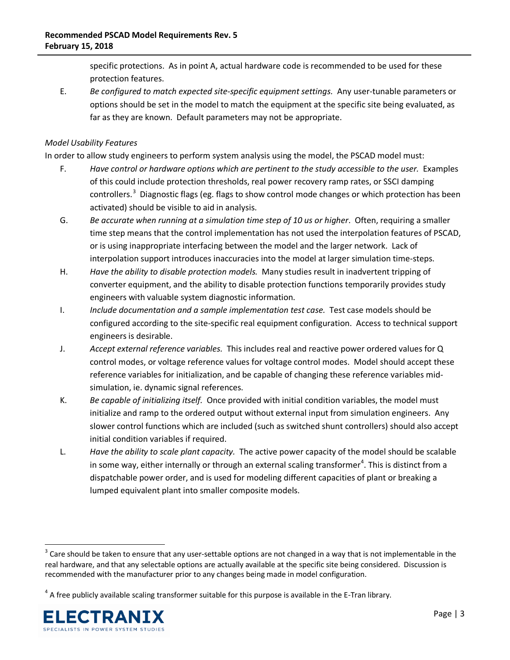specific protections. As in point A, actual hardware code is recommended to be used for these protection features.

E. *Be configured to match expected site*-*specific equipment settings.* Any user-tunable parameters or options should be set in the model to match the equipment at the specific site being evaluated, as far as they are known. Default parameters may not be appropriate.

## *Model Usability Features*

In order to allow study engineers to perform system analysis using the model, the PSCAD model must:

- F. *Have control or hardware options which are pertinent to the study accessible to the user.* Examples of this could include protection thresholds, real power recovery ramp rates, or SSCI damping controllers.<sup>[3](#page-2-0)</sup> Diagnostic flags (eg. flags to show control mode changes or which protection has been activated) should be visible to aid in analysis.
- G. *Be accurate when running at a simulation time step of 10 us or higher*. Often, requiring a smaller time step means that the control implementation has not used the interpolation features of PSCAD, or is using inappropriate interfacing between the model and the larger network. Lack of interpolation support introduces inaccuracies into the model at larger simulation time-steps.
- H. *Have the ability to disable protection models.* Many studies result in inadvertent tripping of converter equipment, and the ability to disable protection functions temporarily provides study engineers with valuable system diagnostic information.
- I. *Include documentation and a sample implementation test case.* Test case models should be configured according to the site-specific real equipment configuration. Access to technical support engineers is desirable.
- J. *Accept external reference variables.* This includes real and reactive power ordered values for Q control modes, or voltage reference values for voltage control modes. Model should accept these reference variables for initialization, and be capable of changing these reference variables midsimulation, ie. dynamic signal references.
- K. *Be capable of initializing itself.* Once provided with initial condition variables, the model must initialize and ramp to the ordered output without external input from simulation engineers. Any slower control functions which are included (such as switched shunt controllers) should also accept initial condition variables if required.
- L. *Have the ability to scale plant capacity.* The active power capacity of the model should be scalable in some way, either internally or through an external scaling transformer<sup>[4](#page-2-1)</sup>. This is distinct from a dispatchable power order, and is used for modeling different capacities of plant or breaking a lumped equivalent plant into smaller composite models.

<span id="page-2-1"></span> $4$  A free publicly available scaling transformer suitable for this purpose is available in the E-Tran library.



<span id="page-2-0"></span>Care should be taken to ensure that any user-settable options are not changed in a way that is not implementable in the real hardware, and that any selectable options are actually available at the specific site being considered. Discussion is recommended with the manufacturer prior to any changes being made in model configuration.